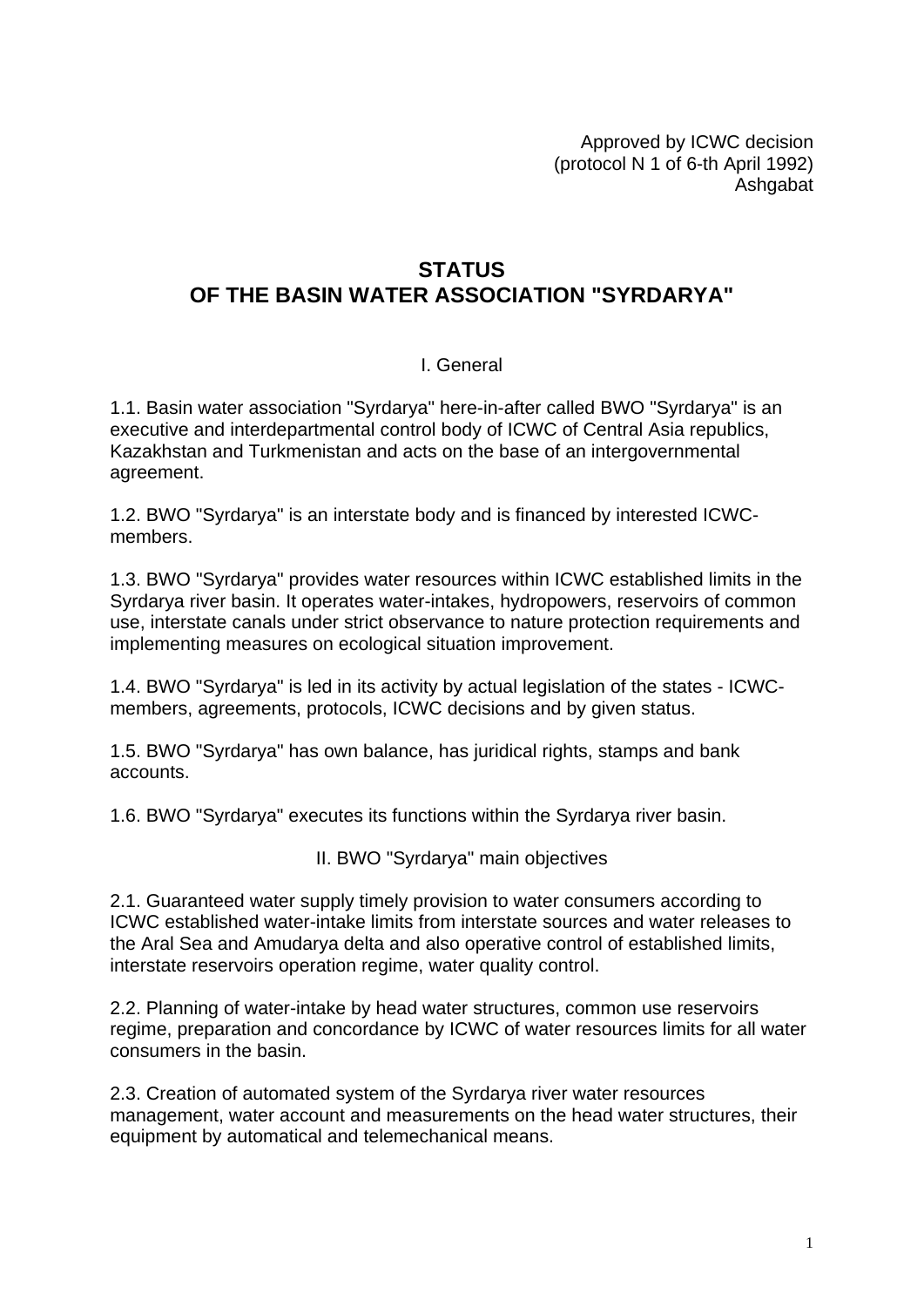Approved by ICWC decision (protocol N 1 of 6-th April 1992) Ashgabat

## **STATUS OF THE BASIN WATER ASSOCIATION "SYRDARYA"**

## I. General

1.1. Basin water association "Syrdarya" here-in-after called BWO "Syrdarya" is an executive and interdepartmental control body of ICWC of Central Asia republics, Kazakhstan and Turkmenistan and acts on the base of an intergovernmental agreement.

1.2. BWO "Syrdarya" is an interstate body and is financed by interested ICWCmembers.

1.3. BWO "Syrdarya" provides water resources within ICWC established limits in the Syrdarya river basin. It operates water-intakes, hydropowers, reservoirs of common use, interstate canals under strict observance to nature protection requirements and implementing measures on ecological situation improvement.

1.4. BWO "Syrdarya" is led in its activity by actual legislation of the states - ICWCmembers, agreements, protocols, ICWC decisions and by given status.

1.5. BWO "Syrdarya" has own balance, has juridical rights, stamps and bank accounts.

1.6. BWO "Syrdarya" executes its functions within the Syrdarya river basin.

II. BWO "Syrdarya" main objectives

2.1. Guaranteed water supply timely provision to water consumers according to ICWC established water-intake limits from interstate sources and water releases to the Aral Sea and Amudarya delta and also operative control of established limits, interstate reservoirs operation regime, water quality control.

2.2. Planning of water-intake by head water structures, common use reservoirs regime, preparation and concordance by ICWC of water resources limits for all water consumers in the basin.

2.3. Creation of automated system of the Syrdarya river water resources management, water account and measurements on the head water structures, their equipment by automatical and telemechanical means.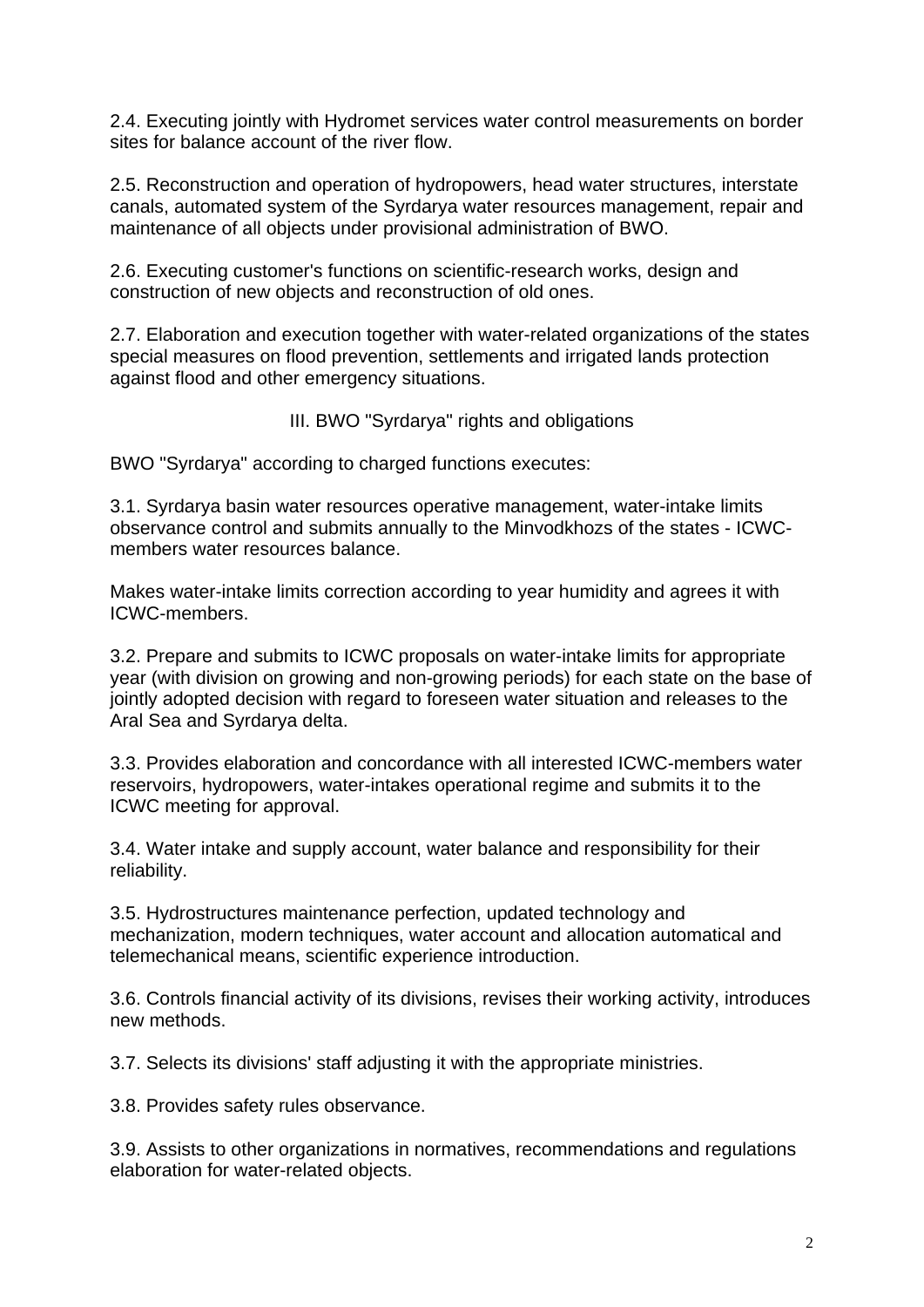2.4. Executing jointly with Hydromet services water control measurements on border sites for balance account of the river flow.

2.5. Reconstruction and operation of hydropowers, head water structures, interstate canals, automated system of the Syrdarya water resources management, repair and maintenance of all objects under provisional administration of BWO.

2.6. Executing customer's functions on scientific-research works, design and construction of new objects and reconstruction of old ones.

2.7. Elaboration and execution together with water-related organizations of the states special measures on flood prevention, settlements and irrigated lands protection against flood and other emergency situations.

III. BWO "Syrdarya" rights and obligations

BWO "Syrdarya" according to charged functions executes:

3.1. Syrdarya basin water resources operative management, water-intake limits observance control and submits annually to the Minvodkhozs of the states - ICWCmembers water resources balance.

Makes water-intake limits correction according to year humidity and agrees it with ICWC-members.

3.2. Prepare and submits to ICWC proposals on water-intake limits for appropriate year (with division on growing and non-growing periods) for each state on the base of jointly adopted decision with regard to foreseen water situation and releases to the Aral Sea and Syrdarya delta.

3.3. Provides elaboration and concordance with all interested ICWC-members water reservoirs, hydropowers, water-intakes operational regime and submits it to the ICWC meeting for approval.

3.4. Water intake and supply account, water balance and responsibility for their reliability.

3.5. Hydrostructures maintenance perfection, updated technology and mechanization, modern techniques, water account and allocation automatical and telemechanical means, scientific experience introduction.

3.6. Controls financial activity of its divisions, revises their working activity, introduces new methods.

3.7. Selects its divisions' staff adjusting it with the appropriate ministries.

3.8. Provides safety rules observance.

3.9. Assists to other organizations in normatives, recommendations and regulations elaboration for water-related objects.